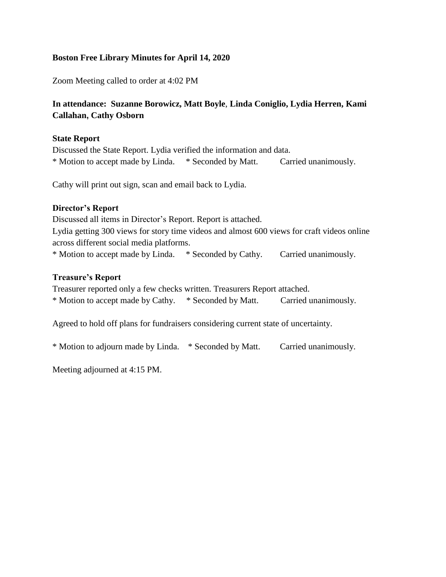## **Boston Free Library Minutes for April 14, 2020**

Zoom Meeting called to order at 4:02 PM

# **In attendance: Suzanne Borowicz, Matt Boyle**, **Linda Coniglio, Lydia Herren, Kami Callahan, Cathy Osborn**

### **State Report**

Discussed the State Report. Lydia verified the information and data. \* Motion to accept made by Linda. \* Seconded by Matt. Carried unanimously.

Cathy will print out sign, scan and email back to Lydia.

### **Director's Report**

Discussed all items in Director's Report. Report is attached. Lydia getting 300 views for story time videos and almost 600 views for craft videos online across different social media platforms. \* Motion to accept made by Linda. \* Seconded by Cathy. Carried unanimously.

#### **Treasure's Report**

Treasurer reported only a few checks written. Treasurers Report attached. \* Motion to accept made by Cathy. \* Seconded by Matt. Carried unanimously.

Agreed to hold off plans for fundraisers considering current state of uncertainty.

\* Motion to adjourn made by Linda. \* Seconded by Matt. Carried unanimously.

Meeting adjourned at 4:15 PM.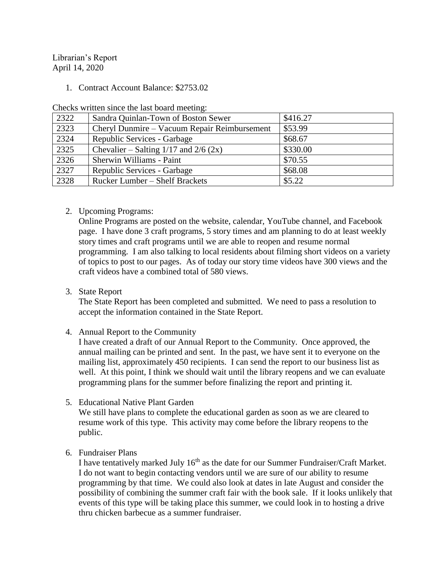Librarian's Report April 14, 2020

1. Contract Account Balance: \$2753.02

Checks written since the last board meeting:

| 2322 | Sandra Quinlan-Town of Boston Sewer          | \$416.27 |
|------|----------------------------------------------|----------|
| 2323 | Cheryl Dunmire – Vacuum Repair Reimbursement | \$53.99  |
| 2324 | Republic Services - Garbage                  | \$68.67  |
| 2325 | Chevalier – Salting $1/17$ and $2/6$ (2x)    | \$330.00 |
| 2326 | Sherwin Williams - Paint                     | \$70.55  |
| 2327 | Republic Services - Garbage                  | \$68.08  |
| 2328 | Rucker Lumber – Shelf Brackets               | \$5.22   |

2. Upcoming Programs:

Online Programs are posted on the website, calendar, YouTube channel, and Facebook page. I have done 3 craft programs, 5 story times and am planning to do at least weekly story times and craft programs until we are able to reopen and resume normal programming. I am also talking to local residents about filming short videos on a variety of topics to post to our pages. As of today our story time videos have 300 views and the craft videos have a combined total of 580 views.

3. State Report

The State Report has been completed and submitted. We need to pass a resolution to accept the information contained in the State Report.

4. Annual Report to the Community

I have created a draft of our Annual Report to the Community. Once approved, the annual mailing can be printed and sent. In the past, we have sent it to everyone on the mailing list, approximately 450 recipients. I can send the report to our business list as well. At this point, I think we should wait until the library reopens and we can evaluate programming plans for the summer before finalizing the report and printing it.

5. Educational Native Plant Garden

We still have plans to complete the educational garden as soon as we are cleared to resume work of this type. This activity may come before the library reopens to the public.

6. Fundraiser Plans

I have tentatively marked July 16<sup>th</sup> as the date for our Summer Fundraiser/Craft Market. I do not want to begin contacting vendors until we are sure of our ability to resume programming by that time. We could also look at dates in late August and consider the possibility of combining the summer craft fair with the book sale. If it looks unlikely that events of this type will be taking place this summer, we could look in to hosting a drive thru chicken barbecue as a summer fundraiser.